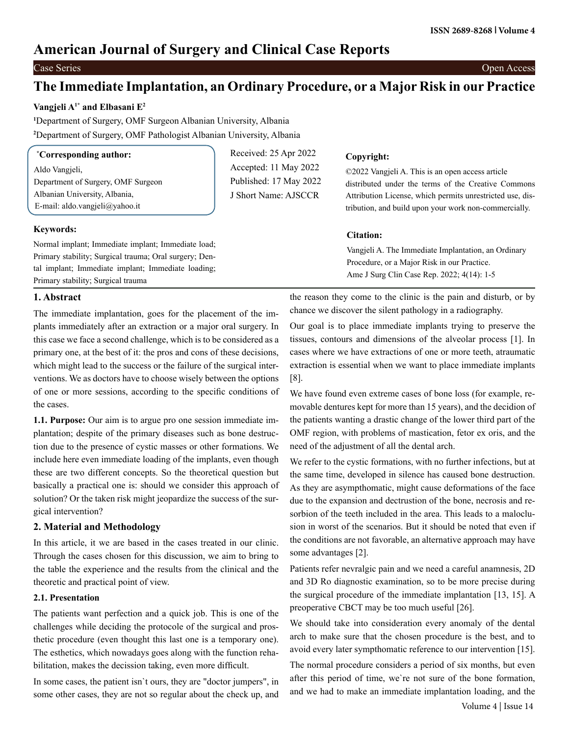# **American Journal of Surgery and Clinical Case Reports**

Case Series Open Access

# **The Immediate Implantation, an Ordinary Procedure, or a Major Risk in our Practice**

## **Vangjeli A1\* and Elbasani E2**

**1** Department of Surgery, OMF Surgeon Albanian University, Albania **2** Department of Surgery, OMF Pathologist Albanian University, Albania

| <b>Corresponding author:</b> |  |
|------------------------------|--|
|------------------------------|--|

Aldo Vangjeli, Department of Surgery, OMF Surgeon Albanian University, Albania, E-mail: aldo.vangjeli@yahoo.it

#### **Keywords:**

**\***

Normal implant; Immediate implant; Immediate load; Primary stability; Surgical trauma; Oral surgery; Dental implant; Immediate implant; Immediate loading; Primary stability; Surgical trauma

#### **1. Abstract**

The immediate implantation, goes for the placement of the implants immediately after an extraction or a major oral surgery. In this case we face a second challenge, which is to be considered as a primary one, at the best of it: the pros and cons of these decisions, which might lead to the success or the failure of the surgical interventions. We as doctors have to choose wisely between the options of one or more sessions, according to the specific conditions of the cases.

**1.1. Purpose:** Our aim is to argue pro one session immediate implantation; despite of the primary diseases such as bone destruction due to the presence of cystic masses or other formations. We include here even immediate loading of the implants, even though these are two different concepts. So the theoretical question but basically a practical one is: should we consider this approach of solution? Or the taken risk might jeopardize the success of the surgical intervention?

## **2. Material and Methodology**

In this article, it we are based in the cases treated in our clinic. Through the cases chosen for this discussion, we aim to bring to the table the experience and the results from the clinical and the theoretic and practical point of view.

#### **2.1. Presentation**

The patients want perfection and a quick job. This is one of the challenges while deciding the protocole of the surgical and prosthetic procedure (even thought this last one is a temporary one). The esthetics, which nowadays goes along with the function rehabilitation, makes the decission taking, even more difficult.

In some cases, the patient isn`t ours, they are "doctor jumpers", in some other cases, they are not so regular about the check up, and

Received: 25 Apr 2022 Accepted: 11 May 2022 Published: 17 May 2022 J Short Name: AJSCCR

#### **Copyright:**

©2022 Vangjeli A. This is an open access article distributed under the terms of the Creative Commons Attribution License, which permits unrestricted use, distribution, and build upon your work non-commercially.

#### **Citation:**

Vangjeli A. The Immediate Implantation, an Ordinary Procedure, or a Major Risk in our Practice. Ame J Surg Clin Case Rep. 2022; 4(14): 1-5

the reason they come to the clinic is the pain and disturb, or by chance we discover the silent pathology in a radiography.

Our goal is to place immediate implants trying to preserve the tissues, contours and dimensions of the alveolar process [1]. In cases where we have extractions of one or more teeth, atraumatic extraction is essential when we want to place immediate implants [8].

We have found even extreme cases of bone loss (for example, removable dentures kept for more than 15 years), and the decidion of the patients wanting a drastic change of the lower third part of the OMF region, with problems of mastication, fetor ex oris, and the need of the adjustment of all the dental arch.

We refer to the cystic formations, with no further infections, but at the same time, developed in silence has caused bone destruction. As they are asympthomatic, might cause deformations of the face due to the expansion and dectrustion of the bone, necrosis and resorbion of the teeth included in the area. This leads to a maloclusion in worst of the scenarios. But it should be noted that even if the conditions are not favorable, an alternative approach may have some advantages [2].

Patients refer nevralgic pain and we need a careful anamnesis, 2D and 3D Ro diagnostic examination, so to be more precise during the surgical procedure of the immediate implantation [13, 15]. A preoperative CBCT may be too much useful [26].

We should take into consideration every anomaly of the dental arch to make sure that the chosen procedure is the best, and to avoid every later sympthomatic reference to our intervention [15].

The normal procedure considers a period of six months, but even after this period of time, we`re not sure of the bone formation, and we had to make an immediate implantation loading, and the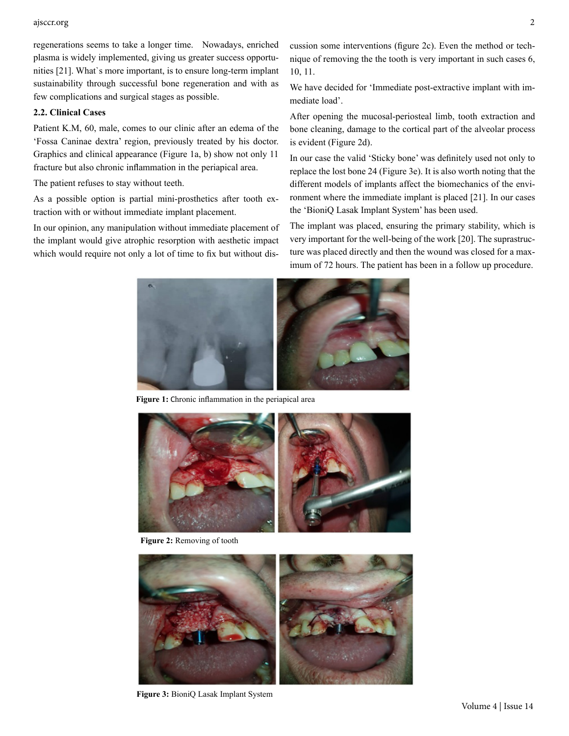#### ajsccr.org 2

regenerations seems to take a longer time. Nowadays, enriched plasma is widely implemented, giving us greater success opportunities [21]. What`s more important, is to ensure long-term implant sustainability through successful bone regeneration and with as few complications and surgical stages as possible.

#### **2.2. Clinical Cases**

Patient K.M, 60, male, comes to our clinic after an edema of the 'Fossa Caninae dextra' region, previously treated by his doctor. Graphics and clinical appearance (Figure 1a, b) show not only 11 fracture but also chronic inflammation in the periapical area.

The patient refuses to stay without teeth.

As a possible option is partial mini-prosthetics after tooth extraction with or without immediate implant placement.

In our opinion, any manipulation without immediate placement of the implant would give atrophic resorption with aesthetic impact which would require not only a lot of time to fix but without discussion some interventions (figure 2c). Even the method or technique of removing the the tooth is very important in such cases 6, 10, 11.

We have decided for 'Immediate post-extractive implant with immediate load'.

After opening the mucosal-periosteal limb, tooth extraction and bone cleaning, damage to the cortical part of the alveolar process is evident (Figure 2d).

In our case the valid 'Sticky bone' was definitely used not only to replace the lost bone 24 (Figure 3e). It is also worth noting that the different models of implants affect the biomechanics of the environment where the immediate implant is placed [21]. In our cases the 'BioniQ Lasak Implant System' has been used.

The implant was placed, ensuring the primary stability, which is very important for the well-being of the work [20]. The suprastructure was placed directly and then the wound was closed for a maximum of 72 hours. The patient has been in a follow up procedure.



**Figure 1:** Chronic inflammation in the periapical area



**Figure 2:** Removing of tooth



**Figure 3:** BioniQ Lasak Implant System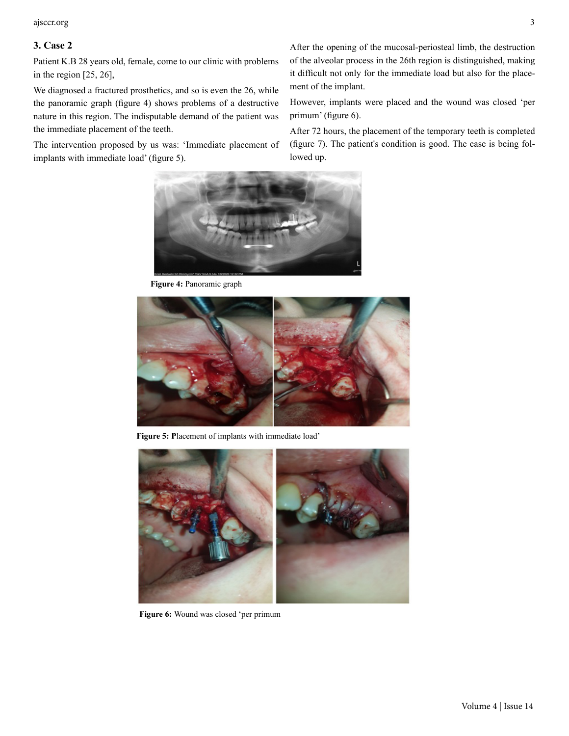ajsccr.org 3

### **3. Case 2**

Patient K.B 28 years old, female, come to our clinic with problems in the region [25, 26],

We diagnosed a fractured prosthetics, and so is even the 26, while the panoramic graph (figure 4) shows problems of a destructive nature in this region. The indisputable demand of the patient was the immediate placement of the teeth.

The intervention proposed by us was: 'Immediate placement of implants with immediate load' (figure 5).

After the opening of the mucosal-periosteal limb, the destruction of the alveolar process in the 26th region is distinguished, making it difficult not only for the immediate load but also for the placement of the implant.

However, implants were placed and the wound was closed 'per primum' (figure 6).

After 72 hours, the placement of the temporary teeth is completed (figure 7). The patient's condition is good. The case is being followed up.



**Figure 4:** Panoramic graph



**Figure 5: P**lacement of implants with immediate load'



Figure 6: Wound was closed 'per primum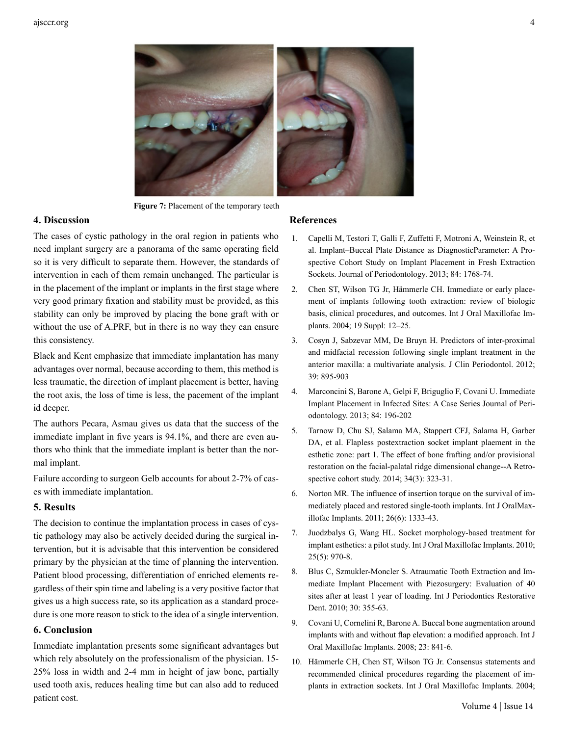

**Figure 7:** Placement of the temporary teeth

#### **4. Discussion**

The cases of cystic pathology in the oral region in patients who need implant surgery are a panorama of the same operating field so it is very difficult to separate them. However, the standards of intervention in each of them remain unchanged. The particular is in the placement of the implant or implants in the first stage where very good primary fixation and stability must be provided, as this stability can only be improved by placing the bone graft with or without the use of A.PRF, but in there is no way they can ensure this consistency.

Black and Kent emphasize that immediate implantation has many advantages over normal, because according to them, this method is less traumatic, the direction of implant placement is better, having the root axis, the loss of time is less, the pacement of the implant id deeper.

The authors Pecara, Asmau gives us data that the success of the immediate implant in five years is 94.1%, and there are even authors who think that the immediate implant is better than the normal implant.

Failure according to surgeon Gelb accounts for about 2-7% of cases with immediate implantation.

#### **5. Results**

The decision to continue the implantation process in cases of cystic pathology may also be actively decided during the surgical intervention, but it is advisable that this intervention be considered primary by the physician at the time of planning the intervention. Patient blood processing, differentiation of enriched elements regardless of their spin time and labeling is a very positive factor that gives us a high success rate, so its application as a standard procedure is one more reason to stick to the idea of a single intervention.

#### **6. Conclusion**

Immediate implantation presents some significant advantages but which rely absolutely on the professionalism of the physician. 15- 25% loss in width and 2-4 mm in height of jaw bone, partially used tooth axis, reduces healing time but can also add to reduced patient cost.

#### **References**

- 1. [Capelli M, Testori T, Galli F, Zuffetti F, Motroni A, Weinstein R, et](https://pubmed.ncbi.nlm.nih.gov/23472878/) [al. Implant–Buccal Plate Distance as DiagnosticParameter: A Pro](https://pubmed.ncbi.nlm.nih.gov/23472878/)[spective Cohort Study on Implant Placement in Fresh Extraction](https://pubmed.ncbi.nlm.nih.gov/23472878/) [Sockets. Journal of Periodontology. 2013; 84: 1768-74.](https://pubmed.ncbi.nlm.nih.gov/23472878/)
- 2. [Chen ST, Wilson TG Jr, Hämmerle CH. Immediate or early place](https://pubmed.ncbi.nlm.nih.gov/15635942/)[ment of implants following tooth extraction: review of biologic](https://pubmed.ncbi.nlm.nih.gov/15635942/) [basis, clinical procedures, and outcomes. Int J Oral Maxillofac Im](https://pubmed.ncbi.nlm.nih.gov/15635942/)[plants. 2004; 19 Suppl: 12–25.](https://pubmed.ncbi.nlm.nih.gov/15635942/)
- 3. [Cosyn J, Sabzevar MM, De Bruyn H. Predictors of inter-proximal](https://pubmed.ncbi.nlm.nih.gov/22780557/)  [and midfacial recession following single implant treatment in the](https://pubmed.ncbi.nlm.nih.gov/22780557/) [anterior maxilla: a multivariate analysis. J Clin Periodontol. 2012;](https://pubmed.ncbi.nlm.nih.gov/22780557/) [39: 895-903](https://pubmed.ncbi.nlm.nih.gov/22780557/)
- 4. [Marconcini S, Barone A, Gelpi F, Briguglio F, Covani U. Immediate](https://pubmed.ncbi.nlm.nih.gov/22509756/) [Implant Placement in Infected Sites: A Case Series Journal of Peri](https://pubmed.ncbi.nlm.nih.gov/22509756/)[odontology. 2013; 84: 196-202](https://pubmed.ncbi.nlm.nih.gov/22509756/)
- 5. [Tarnow D, Chu SJ, Salama MA, Stappert CFJ, Salama H, Garber](https://pubmed.ncbi.nlm.nih.gov/24804283/) [DA, et al. Flapless postextraction socket implant plaement in the](https://pubmed.ncbi.nlm.nih.gov/24804283/) [esthetic zone: part 1. The effect of bone frafting and/or provisional](https://pubmed.ncbi.nlm.nih.gov/24804283/) [restoration on the facial-palatal ridge dimensional change--A Retro](https://pubmed.ncbi.nlm.nih.gov/24804283/)[spective cohort study. 2014; 34\(3\): 323-31.](https://pubmed.ncbi.nlm.nih.gov/24804283/)
- 6. [Norton MR. The influence of insertion torque on the survival of im](https://pubmed.ncbi.nlm.nih.gov/22167441/)[mediately placed and restored single-tooth implants. Int J OralMax](https://pubmed.ncbi.nlm.nih.gov/22167441/)[illofac Implants. 2011; 26\(6\): 1333-43.](https://pubmed.ncbi.nlm.nih.gov/22167441/)
- 7. [Juodzbalys G, Wang HL. Socket morphology-based treatment for](https://pubmed.ncbi.nlm.nih.gov/20862411/)  [implant esthetics: a pilot study. Int J Oral Maxillofac Implants. 2010;](https://pubmed.ncbi.nlm.nih.gov/20862411/) [25\(5\): 970-8.](https://pubmed.ncbi.nlm.nih.gov/20862411/)
- 8. [Blus C, Szmukler-Moncler S. Atraumatic Tooth Extraction and Im](https://pubmed.ncbi.nlm.nih.gov/20664837/)[mediate Implant Placement with Piezosurgery: Evaluation of 40](https://pubmed.ncbi.nlm.nih.gov/20664837/) [sites after at least 1 year of loading. Int J Periodontics Restorative](https://pubmed.ncbi.nlm.nih.gov/20664837/)  [Dent. 2010; 30: 355-63.](https://pubmed.ncbi.nlm.nih.gov/20664837/)
- 9. [Covani U, Cornelini R, Barone A. Buccal bone augmentation around](https://pubmed.ncbi.nlm.nih.gov/19014153/) [implants with and without flap elevation: a modified approach. Int J](https://pubmed.ncbi.nlm.nih.gov/19014153/)  [Oral Maxillofac Implants. 2008; 23: 841-6.](https://pubmed.ncbi.nlm.nih.gov/19014153/)
- 10. [Hämmerle CH, Chen ST, Wilson TG Jr. Consensus statements and](https://pubmed.ncbi.nlm.nih.gov/15635943/) [recommended clinical procedures regarding the placement of im](https://pubmed.ncbi.nlm.nih.gov/15635943/)[plants in extraction sockets. Int J Oral Maxillofac Implants. 2004;](https://pubmed.ncbi.nlm.nih.gov/15635943/)